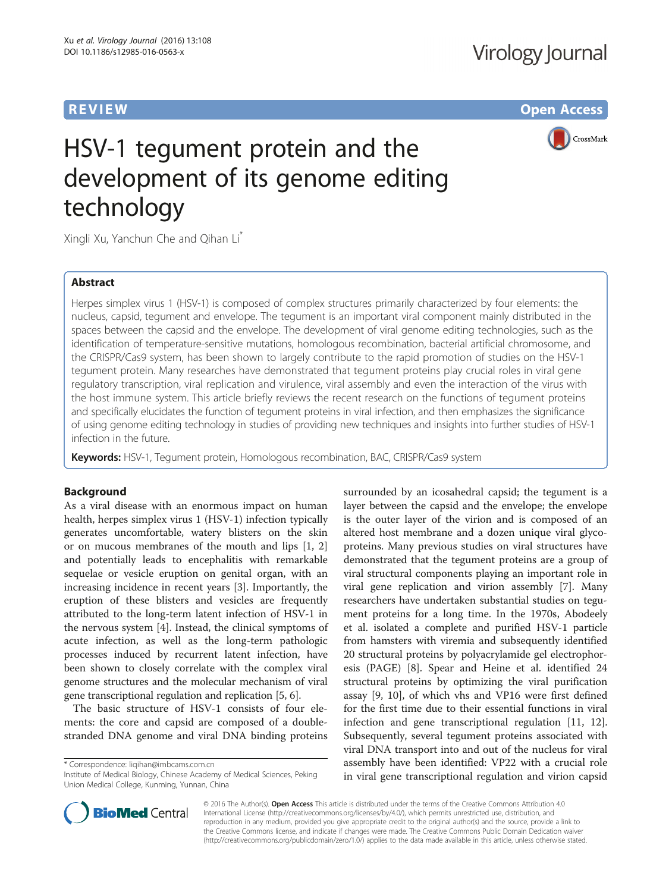**REVIEW CONSTRUCTION CONSTRUCTION CONSTRUCTS** 

CrossMark



Xingli Xu, Yanchun Che and Qihan Li<sup>\*</sup>

# Abstract

Herpes simplex virus 1 (HSV-1) is composed of complex structures primarily characterized by four elements: the nucleus, capsid, tegument and envelope. The tegument is an important viral component mainly distributed in the spaces between the capsid and the envelope. The development of viral genome editing technologies, such as the identification of temperature-sensitive mutations, homologous recombination, bacterial artificial chromosome, and the CRISPR/Cas9 system, has been shown to largely contribute to the rapid promotion of studies on the HSV-1 tegument protein. Many researches have demonstrated that tegument proteins play crucial roles in viral gene regulatory transcription, viral replication and virulence, viral assembly and even the interaction of the virus with the host immune system. This article briefly reviews the recent research on the functions of tegument proteins and specifically elucidates the function of tegument proteins in viral infection, and then emphasizes the significance of using genome editing technology in studies of providing new techniques and insights into further studies of HSV-1 infection in the future.

Keywords: HSV-1, Tequment protein, Homologous recombination, BAC, CRISPR/Cas9 system

# **Background**

As a viral disease with an enormous impact on human health, herpes simplex virus 1 (HSV-1) infection typically generates uncomfortable, watery blisters on the skin or on mucous membranes of the mouth and lips [\[1](#page-5-0), [2](#page-5-0)] and potentially leads to encephalitis with remarkable sequelae or vesicle eruption on genital organ, with an increasing incidence in recent years [\[3](#page-5-0)]. Importantly, the eruption of these blisters and vesicles are frequently attributed to the long-term latent infection of HSV-1 in the nervous system [[4\]](#page-5-0). Instead, the clinical symptoms of acute infection, as well as the long-term pathologic processes induced by recurrent latent infection, have been shown to closely correlate with the complex viral genome structures and the molecular mechanism of viral gene transcriptional regulation and replication [\[5](#page-5-0), [6\]](#page-5-0).

The basic structure of HSV-1 consists of four elements: the core and capsid are composed of a doublestranded DNA genome and viral DNA binding proteins

\* Correspondence: [liqihan@imbcams.com.cn](mailto:liqihan@imbcams.com.cn)

Institute of Medical Biology, Chinese Academy of Medical Sciences, Peking Union Medical College, Kunming, Yunnan, China

surrounded by an icosahedral capsid; the tegument is a layer between the capsid and the envelope; the envelope is the outer layer of the virion and is composed of an altered host membrane and a dozen unique viral glycoproteins. Many previous studies on viral structures have demonstrated that the tegument proteins are a group of viral structural components playing an important role in viral gene replication and virion assembly [\[7](#page-5-0)]. Many researchers have undertaken substantial studies on tegument proteins for a long time. In the 1970s, Abodeely et al. isolated a complete and purified HSV-1 particle from hamsters with viremia and subsequently identified 20 structural proteins by polyacrylamide gel electrophoresis (PAGE) [\[8](#page-5-0)]. Spear and Heine et al. identified 24 structural proteins by optimizing the viral purification assay [[9, 10](#page-5-0)], of which vhs and VP16 were first defined for the first time due to their essential functions in viral infection and gene transcriptional regulation [[11, 12](#page-5-0)]. Subsequently, several tegument proteins associated with viral DNA transport into and out of the nucleus for viral assembly have been identified: VP22 with a crucial role in viral gene transcriptional regulation and virion capsid



© 2016 The Author(s). Open Access This article is distributed under the terms of the Creative Commons Attribution 4.0 International License [\(http://creativecommons.org/licenses/by/4.0/](http://creativecommons.org/licenses/by/4.0/)), which permits unrestricted use, distribution, and reproduction in any medium, provided you give appropriate credit to the original author(s) and the source, provide a link to the Creative Commons license, and indicate if changes were made. The Creative Commons Public Domain Dedication waiver [\(http://creativecommons.org/publicdomain/zero/1.0/](http://creativecommons.org/publicdomain/zero/1.0/)) applies to the data made available in this article, unless otherwise stated.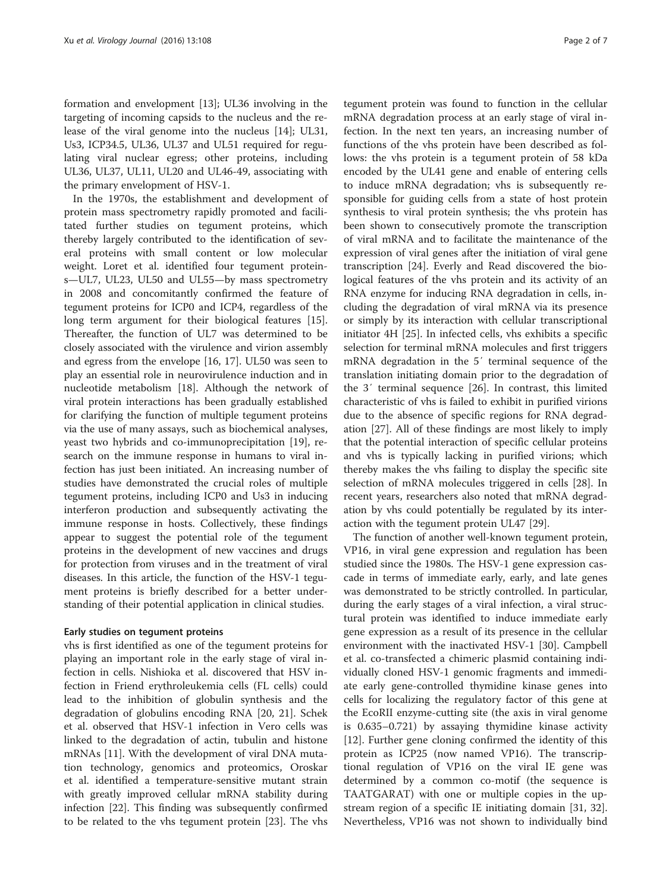formation and envelopment [[13](#page-5-0)]; UL36 involving in the targeting of incoming capsids to the nucleus and the release of the viral genome into the nucleus [\[14](#page-5-0)]; UL31, Us3, ICP34.5, UL36, UL37 and UL51 required for regulating viral nuclear egress; other proteins, including UL36, UL37, UL11, UL20 and UL46-49, associating with the primary envelopment of HSV-1.

In the 1970s, the establishment and development of protein mass spectrometry rapidly promoted and facilitated further studies on tegument proteins, which thereby largely contributed to the identification of several proteins with small content or low molecular weight. Loret et al. identified four tegument proteins—UL7, UL23, UL50 and UL55—by mass spectrometry in 2008 and concomitantly confirmed the feature of tegument proteins for ICP0 and ICP4, regardless of the long term argument for their biological features [\[15](#page-5-0)]. Thereafter, the function of UL7 was determined to be closely associated with the virulence and virion assembly and egress from the envelope [[16, 17\]](#page-5-0). UL50 was seen to play an essential role in neurovirulence induction and in nucleotide metabolism [[18\]](#page-5-0). Although the network of viral protein interactions has been gradually established for clarifying the function of multiple tegument proteins via the use of many assays, such as biochemical analyses, yeast two hybrids and co-immunoprecipitation [[19\]](#page-5-0), research on the immune response in humans to viral infection has just been initiated. An increasing number of studies have demonstrated the crucial roles of multiple tegument proteins, including ICP0 and Us3 in inducing interferon production and subsequently activating the immune response in hosts. Collectively, these findings appear to suggest the potential role of the tegument proteins in the development of new vaccines and drugs for protection from viruses and in the treatment of viral diseases. In this article, the function of the HSV-1 tegument proteins is briefly described for a better understanding of their potential application in clinical studies.

#### Early studies on tegument proteins

vhs is first identified as one of the tegument proteins for playing an important role in the early stage of viral infection in cells. Nishioka et al. discovered that HSV infection in Friend erythroleukemia cells (FL cells) could lead to the inhibition of globulin synthesis and the degradation of globulins encoding RNA [\[20, 21](#page-5-0)]. Schek et al. observed that HSV-1 infection in Vero cells was linked to the degradation of actin, tubulin and histone mRNAs [\[11](#page-5-0)]. With the development of viral DNA mutation technology, genomics and proteomics, Oroskar et al. identified a temperature-sensitive mutant strain with greatly improved cellular mRNA stability during infection [[22](#page-5-0)]. This finding was subsequently confirmed to be related to the vhs tegument protein [\[23\]](#page-5-0). The vhs

tegument protein was found to function in the cellular mRNA degradation process at an early stage of viral infection. In the next ten years, an increasing number of functions of the vhs protein have been described as follows: the vhs protein is a tegument protein of 58 kDa encoded by the UL41 gene and enable of entering cells to induce mRNA degradation; vhs is subsequently responsible for guiding cells from a state of host protein synthesis to viral protein synthesis; the vhs protein has been shown to consecutively promote the transcription of viral mRNA and to facilitate the maintenance of the expression of viral genes after the initiation of viral gene transcription [[24\]](#page-5-0). Everly and Read discovered the biological features of the vhs protein and its activity of an RNA enzyme for inducing RNA degradation in cells, including the degradation of viral mRNA via its presence or simply by its interaction with cellular transcriptional initiator 4H [\[25](#page-5-0)]. In infected cells, vhs exhibits a specific selection for terminal mRNA molecules and first triggers mRNA degradation in the 5′ terminal sequence of the translation initiating domain prior to the degradation of the 3′ terminal sequence [[26](#page-5-0)]. In contrast, this limited characteristic of vhs is failed to exhibit in purified virions due to the absence of specific regions for RNA degradation [\[27\]](#page-5-0). All of these findings are most likely to imply that the potential interaction of specific cellular proteins and vhs is typically lacking in purified virions; which thereby makes the vhs failing to display the specific site selection of mRNA molecules triggered in cells [[28\]](#page-6-0). In recent years, researchers also noted that mRNA degradation by vhs could potentially be regulated by its interaction with the tegument protein UL47 [\[29](#page-6-0)].

The function of another well-known tegument protein, VP16, in viral gene expression and regulation has been studied since the 1980s. The HSV-1 gene expression cascade in terms of immediate early, early, and late genes was demonstrated to be strictly controlled. In particular, during the early stages of a viral infection, a viral structural protein was identified to induce immediate early gene expression as a result of its presence in the cellular environment with the inactivated HSV-1 [[30\]](#page-6-0). Campbell et al. co-transfected a chimeric plasmid containing individually cloned HSV-1 genomic fragments and immediate early gene-controlled thymidine kinase genes into cells for localizing the regulatory factor of this gene at the EcoRII enzyme-cutting site (the axis in viral genome is 0.635–0.721) by assaying thymidine kinase activity [[12\]](#page-5-0). Further gene cloning confirmed the identity of this protein as ICP25 (now named VP16). The transcriptional regulation of VP16 on the viral IE gene was determined by a common co-motif (the sequence is TAATGARAT) with one or multiple copies in the upstream region of a specific IE initiating domain [\[31, 32](#page-6-0)]. Nevertheless, VP16 was not shown to individually bind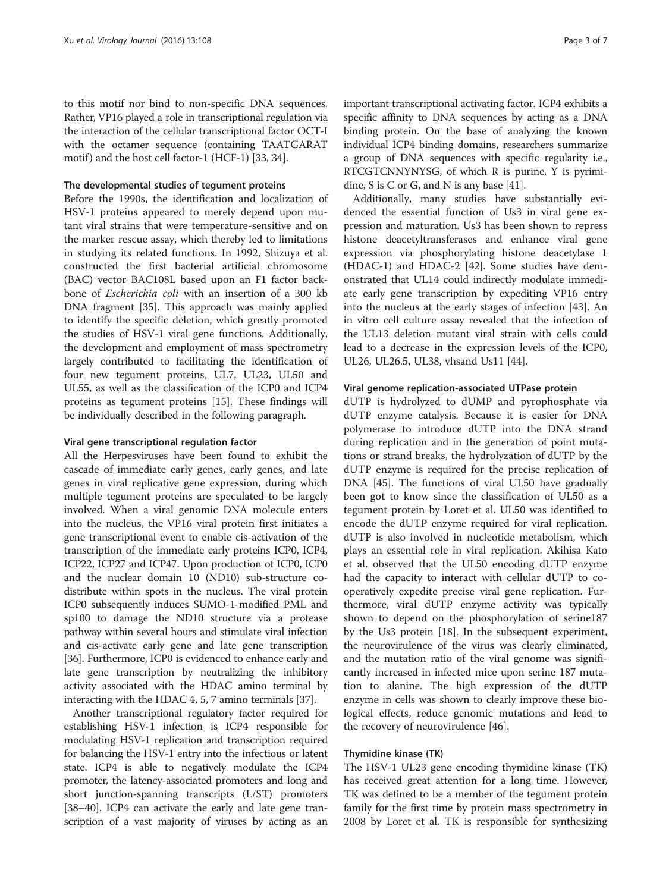to this motif nor bind to non-specific DNA sequences. Rather, VP16 played a role in transcriptional regulation via the interaction of the cellular transcriptional factor OCT-I with the octamer sequence (containing TAATGARAT motif) and the host cell factor-1 (HCF-1) [\[33](#page-6-0), [34](#page-6-0)].

## The developmental studies of tegument proteins

Before the 1990s, the identification and localization of HSV-1 proteins appeared to merely depend upon mutant viral strains that were temperature-sensitive and on the marker rescue assay, which thereby led to limitations in studying its related functions. In 1992, Shizuya et al. constructed the first bacterial artificial chromosome (BAC) vector BAC108L based upon an F1 factor backbone of Escherichia coli with an insertion of a 300 kb DNA fragment [[35](#page-6-0)]. This approach was mainly applied to identify the specific deletion, which greatly promoted the studies of HSV-1 viral gene functions. Additionally, the development and employment of mass spectrometry largely contributed to facilitating the identification of four new tegument proteins, UL7, UL23, UL50 and UL55, as well as the classification of the ICP0 and ICP4 proteins as tegument proteins [[15\]](#page-5-0). These findings will be individually described in the following paragraph.

#### Viral gene transcriptional regulation factor

All the Herpesviruses have been found to exhibit the cascade of immediate early genes, early genes, and late genes in viral replicative gene expression, during which multiple tegument proteins are speculated to be largely involved. When a viral genomic DNA molecule enters into the nucleus, the VP16 viral protein first initiates a gene transcriptional event to enable cis-activation of the transcription of the immediate early proteins ICP0, ICP4, ICP22, ICP27 and ICP47. Upon production of ICP0, ICP0 and the nuclear domain 10 (ND10) sub-structure codistribute within spots in the nucleus. The viral protein ICP0 subsequently induces SUMO-1-modified PML and sp100 to damage the ND10 structure via a protease pathway within several hours and stimulate viral infection and cis-activate early gene and late gene transcription [[36](#page-6-0)]. Furthermore, ICP0 is evidenced to enhance early and late gene transcription by neutralizing the inhibitory activity associated with the HDAC amino terminal by interacting with the HDAC 4, 5, 7 amino terminals [\[37](#page-6-0)].

Another transcriptional regulatory factor required for establishing HSV-1 infection is ICP4 responsible for modulating HSV-1 replication and transcription required for balancing the HSV-1 entry into the infectious or latent state. ICP4 is able to negatively modulate the ICP4 promoter, the latency-associated promoters and long and short junction-spanning transcripts (L/ST) promoters [[38](#page-6-0)–[40\]](#page-6-0). ICP4 can activate the early and late gene transcription of a vast majority of viruses by acting as an

important transcriptional activating factor. ICP4 exhibits a specific affinity to DNA sequences by acting as a DNA binding protein. On the base of analyzing the known individual ICP4 binding domains, researchers summarize a group of DNA sequences with specific regularity i.e., RTCGTCNNYNYSG, of which R is purine, Y is pyrimidine, S is C or G, and N is any base [\[41\]](#page-6-0).

Additionally, many studies have substantially evidenced the essential function of Us3 in viral gene expression and maturation. Us3 has been shown to repress histone deacetyltransferases and enhance viral gene expression via phosphorylating histone deacetylase 1 (HDAC-1) and HDAC-2 [\[42](#page-6-0)]. Some studies have demonstrated that UL14 could indirectly modulate immediate early gene transcription by expediting VP16 entry into the nucleus at the early stages of infection [[43](#page-6-0)]. An in vitro cell culture assay revealed that the infection of the UL13 deletion mutant viral strain with cells could lead to a decrease in the expression levels of the ICP0, UL26, UL26.5, UL38, vhsand Us11 [[44\]](#page-6-0).

#### Viral genome replication-associated UTPase protein

dUTP is hydrolyzed to dUMP and pyrophosphate via dUTP enzyme catalysis. Because it is easier for DNA polymerase to introduce dUTP into the DNA strand during replication and in the generation of point mutations or strand breaks, the hydrolyzation of dUTP by the dUTP enzyme is required for the precise replication of DNA [[45\]](#page-6-0). The functions of viral UL50 have gradually been got to know since the classification of UL50 as a tegument protein by Loret et al. UL50 was identified to encode the dUTP enzyme required for viral replication. dUTP is also involved in nucleotide metabolism, which plays an essential role in viral replication. Akihisa Kato et al. observed that the UL50 encoding dUTP enzyme had the capacity to interact with cellular dUTP to cooperatively expedite precise viral gene replication. Furthermore, viral dUTP enzyme activity was typically shown to depend on the phosphorylation of serine187 by the Us3 protein [[18](#page-5-0)]. In the subsequent experiment, the neurovirulence of the virus was clearly eliminated, and the mutation ratio of the viral genome was significantly increased in infected mice upon serine 187 mutation to alanine. The high expression of the dUTP enzyme in cells was shown to clearly improve these biological effects, reduce genomic mutations and lead to the recovery of neurovirulence [\[46](#page-6-0)].

## Thymidine kinase (TK)

The HSV-1 UL23 gene encoding thymidine kinase (TK) has received great attention for a long time. However, TK was defined to be a member of the tegument protein family for the first time by protein mass spectrometry in 2008 by Loret et al. TK is responsible for synthesizing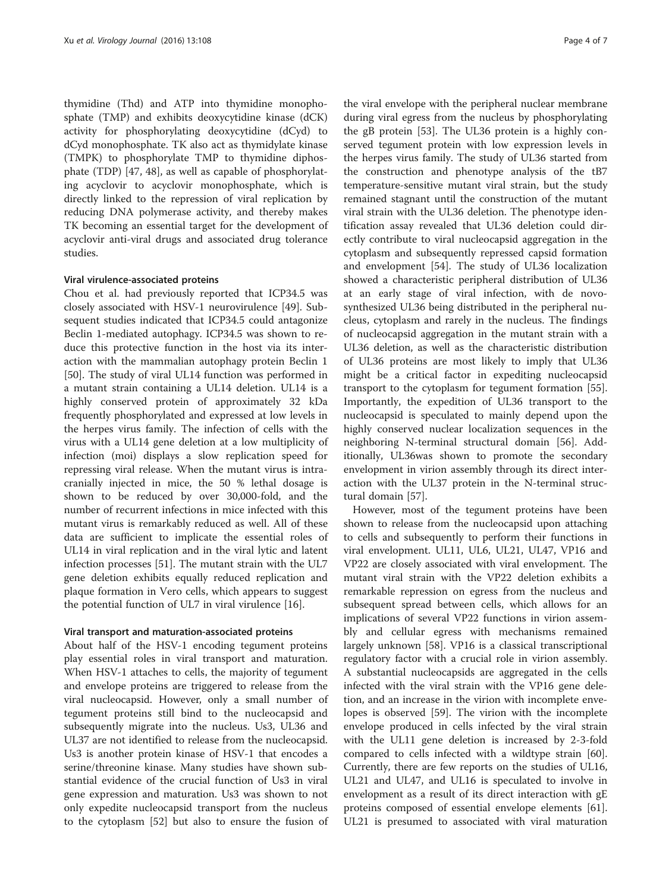thymidine (Thd) and ATP into thymidine monophosphate (TMP) and exhibits deoxycytidine kinase (dCK) activity for phosphorylating deoxycytidine (dCyd) to dCyd monophosphate. TK also act as thymidylate kinase (TMPK) to phosphorylate TMP to thymidine diphosphate (TDP) [\[47, 48\]](#page-6-0), as well as capable of phosphorylating acyclovir to acyclovir monophosphate, which is directly linked to the repression of viral replication by reducing DNA polymerase activity, and thereby makes TK becoming an essential target for the development of acyclovir anti-viral drugs and associated drug tolerance studies.

## Viral virulence-associated proteins

Chou et al. had previously reported that ICP34.5 was closely associated with HSV-1 neurovirulence [[49\]](#page-6-0). Subsequent studies indicated that ICP34.5 could antagonize Beclin 1-mediated autophagy. ICP34.5 was shown to reduce this protective function in the host via its interaction with the mammalian autophagy protein Beclin 1 [[50\]](#page-6-0). The study of viral UL14 function was performed in a mutant strain containing a UL14 deletion. UL14 is a highly conserved protein of approximately 32 kDa frequently phosphorylated and expressed at low levels in the herpes virus family. The infection of cells with the virus with a UL14 gene deletion at a low multiplicity of infection (moi) displays a slow replication speed for repressing viral release. When the mutant virus is intracranially injected in mice, the 50 % lethal dosage is shown to be reduced by over 30,000-fold, and the number of recurrent infections in mice infected with this mutant virus is remarkably reduced as well. All of these data are sufficient to implicate the essential roles of UL14 in viral replication and in the viral lytic and latent infection processes [\[51](#page-6-0)]. The mutant strain with the UL7 gene deletion exhibits equally reduced replication and plaque formation in Vero cells, which appears to suggest the potential function of UL7 in viral virulence [[16\]](#page-5-0).

#### Viral transport and maturation-associated proteins

About half of the HSV-1 encoding tegument proteins play essential roles in viral transport and maturation. When HSV-1 attaches to cells, the majority of tegument and envelope proteins are triggered to release from the viral nucleocapsid. However, only a small number of tegument proteins still bind to the nucleocapsid and subsequently migrate into the nucleus. Us3, UL36 and UL37 are not identified to release from the nucleocapsid. Us3 is another protein kinase of HSV-1 that encodes a serine/threonine kinase. Many studies have shown substantial evidence of the crucial function of Us3 in viral gene expression and maturation. Us3 was shown to not only expedite nucleocapsid transport from the nucleus to the cytoplasm [[52\]](#page-6-0) but also to ensure the fusion of

the viral envelope with the peripheral nuclear membrane during viral egress from the nucleus by phosphorylating the gB protein [[53\]](#page-6-0). The UL36 protein is a highly conserved tegument protein with low expression levels in the herpes virus family. The study of UL36 started from the construction and phenotype analysis of the tB7 temperature-sensitive mutant viral strain, but the study remained stagnant until the construction of the mutant viral strain with the UL36 deletion. The phenotype identification assay revealed that UL36 deletion could directly contribute to viral nucleocapsid aggregation in the cytoplasm and subsequently repressed capsid formation and envelopment [[54\]](#page-6-0). The study of UL36 localization showed a characteristic peripheral distribution of UL36 at an early stage of viral infection, with de novosynthesized UL36 being distributed in the peripheral nucleus, cytoplasm and rarely in the nucleus. The findings of nucleocapsid aggregation in the mutant strain with a UL36 deletion, as well as the characteristic distribution of UL36 proteins are most likely to imply that UL36 might be a critical factor in expediting nucleocapsid transport to the cytoplasm for tegument formation [\[55](#page-6-0)]. Importantly, the expedition of UL36 transport to the nucleocapsid is speculated to mainly depend upon the highly conserved nuclear localization sequences in the neighboring N-terminal structural domain [[56](#page-6-0)]. Additionally, UL36was shown to promote the secondary envelopment in virion assembly through its direct interaction with the UL37 protein in the N-terminal structural domain [[57\]](#page-6-0).

However, most of the tegument proteins have been shown to release from the nucleocapsid upon attaching to cells and subsequently to perform their functions in viral envelopment. UL11, UL6, UL21, UL47, VP16 and VP22 are closely associated with viral envelopment. The mutant viral strain with the VP22 deletion exhibits a remarkable repression on egress from the nucleus and subsequent spread between cells, which allows for an implications of several VP22 functions in virion assembly and cellular egress with mechanisms remained largely unknown [\[58](#page-6-0)]. VP16 is a classical transcriptional regulatory factor with a crucial role in virion assembly. A substantial nucleocapsids are aggregated in the cells infected with the viral strain with the VP16 gene deletion, and an increase in the virion with incomplete envelopes is observed [\[59\]](#page-6-0). The virion with the incomplete envelope produced in cells infected by the viral strain with the UL11 gene deletion is increased by 2-3-fold compared to cells infected with a wildtype strain [\[60](#page-6-0)]. Currently, there are few reports on the studies of UL16, UL21 and UL47, and UL16 is speculated to involve in envelopment as a result of its direct interaction with gE proteins composed of essential envelope elements [\[61](#page-6-0)]. UL21 is presumed to associated with viral maturation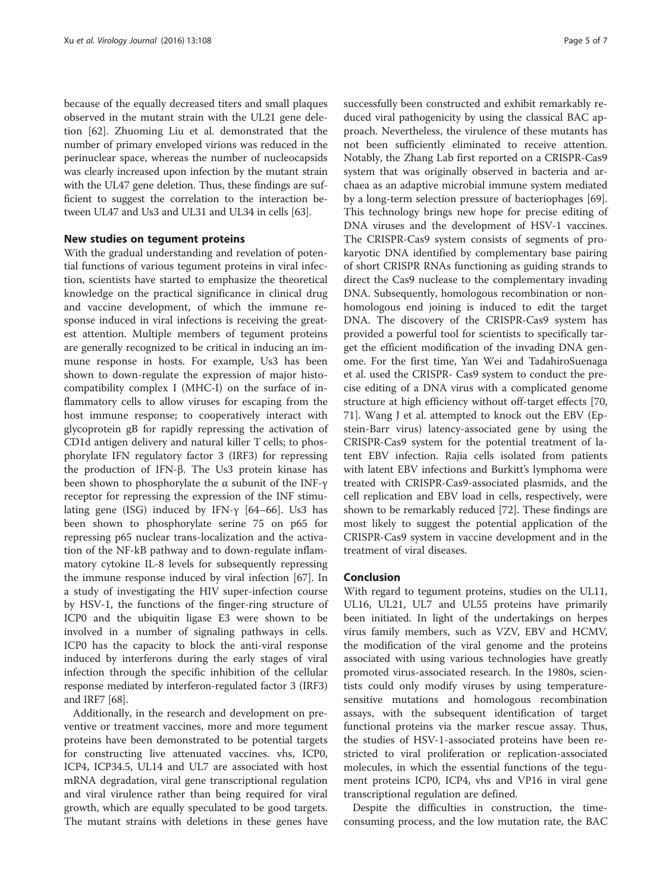because of the equally decreased titers and small plaques observed in the mutant strain with the UL21 gene deletion [\[62](#page-6-0)]. Zhuoming Liu et al. demonstrated that the number of primary enveloped virions was reduced in the perinuclear space, whereas the number of nucleocapsids was clearly increased upon infection by the mutant strain with the UL47 gene deletion. Thus, these findings are sufficient to suggest the correlation to the interaction between UL47 and Us3 and UL31 and UL34 in cells [\[63\]](#page-6-0).

## New studies on tegument proteins

With the gradual understanding and revelation of potential functions of various tegument proteins in viral infection, scientists have started to emphasize the theoretical knowledge on the practical significance in clinical drug and vaccine development, of which the immune response induced in viral infections is receiving the greatest attention. Multiple members of tegument proteins are generally recognized to be critical in inducing an immune response in hosts. For example, Us3 has been shown to down-regulate the expression of major histocompatibility complex I (MHC-I) on the surface of inflammatory cells to allow viruses for escaping from the host immune response; to cooperatively interact with glycoprotein gB for rapidly repressing the activation of CD1d antigen delivery and natural killer T cells; to phosphorylate IFN regulatory factor 3 (IRF3) for repressing the production of IFN-β. The Us3 protein kinase has been shown to phosphorylate the α subunit of the INF-γ receptor for repressing the expression of the INF stimulating gene (ISG) induced by IFN-γ [\[64](#page-6-0)–[66\]](#page-6-0). Us3 has been shown to phosphorylate serine 75 on p65 for repressing p65 nuclear trans-localization and the activation of the NF-kB pathway and to down-regulate inflammatory cytokine IL-8 levels for subsequently repressing the immune response induced by viral infection [\[67\]](#page-6-0). In a study of investigating the HIV super-infection course by HSV-1, the functions of the finger-ring structure of ICP0 and the ubiquitin ligase E3 were shown to be involved in a number of signaling pathways in cells. ICP0 has the capacity to block the anti-viral response induced by interferons during the early stages of viral infection through the specific inhibition of the cellular response mediated by interferon-regulated factor 3 (IRF3) and IRF7 [[68](#page-6-0)].

Additionally, in the research and development on preventive or treatment vaccines, more and more tegument proteins have been demonstrated to be potential targets for constructing live attenuated vaccines. vhs, ICP0, ICP4, ICP34.5, UL14 and UL7 are associated with host mRNA degradation, viral gene transcriptional regulation and viral virulence rather than being required for viral growth, which are equally speculated to be good targets. The mutant strains with deletions in these genes have successfully been constructed and exhibit remarkably reduced viral pathogenicity by using the classical BAC approach. Nevertheless, the virulence of these mutants has not been sufficiently eliminated to receive attention. Notably, the Zhang Lab first reported on a CRISPR-Cas9 system that was originally observed in bacteria and archaea as an adaptive microbial immune system mediated by a long-term selection pressure of bacteriophages [\[69](#page-6-0)]. This technology brings new hope for precise editing of DNA viruses and the development of HSV-1 vaccines. The CRISPR-Cas9 system consists of segments of prokaryotic DNA identified by complementary base pairing of short CRISPR RNAs functioning as guiding strands to direct the Cas9 nuclease to the complementary invading DNA. Subsequently, homologous recombination or nonhomologous end joining is induced to edit the target DNA. The discovery of the CRISPR-Cas9 system has provided a powerful tool for scientists to specifically target the efficient modification of the invading DNA genome. For the first time, Yan Wei and TadahiroSuenaga et al. used the CRISPR- Cas9 system to conduct the precise editing of a DNA virus with a complicated genome structure at high efficiency without off-target effects [[70](#page-6-0), [71\]](#page-6-0). Wang J et al. attempted to knock out the EBV (Epstein-Barr virus) latency-associated gene by using the CRISPR-Cas9 system for the potential treatment of latent EBV infection. Rajia cells isolated from patients with latent EBV infections and Burkitt's lymphoma were treated with CRISPR-Cas9-associated plasmids, and the cell replication and EBV load in cells, respectively, were shown to be remarkably reduced [\[72](#page-6-0)]. These findings are most likely to suggest the potential application of the CRISPR-Cas9 system in vaccine development and in the treatment of viral diseases.

# Conclusion

With regard to tegument proteins, studies on the UL11, UL16, UL21, UL7 and UL55 proteins have primarily been initiated. In light of the undertakings on herpes virus family members, such as VZV, EBV and HCMV, the modification of the viral genome and the proteins associated with using various technologies have greatly promoted virus-associated research. In the 1980s, scientists could only modify viruses by using temperaturesensitive mutations and homologous recombination assays, with the subsequent identification of target functional proteins via the marker rescue assay. Thus, the studies of HSV-1-associated proteins have been restricted to viral proliferation or replication-associated molecules, in which the essential functions of the tegument proteins ICP0, ICP4, vhs and VP16 in viral gene transcriptional regulation are defined.

Despite the difficulties in construction, the timeconsuming process, and the low mutation rate, the BAC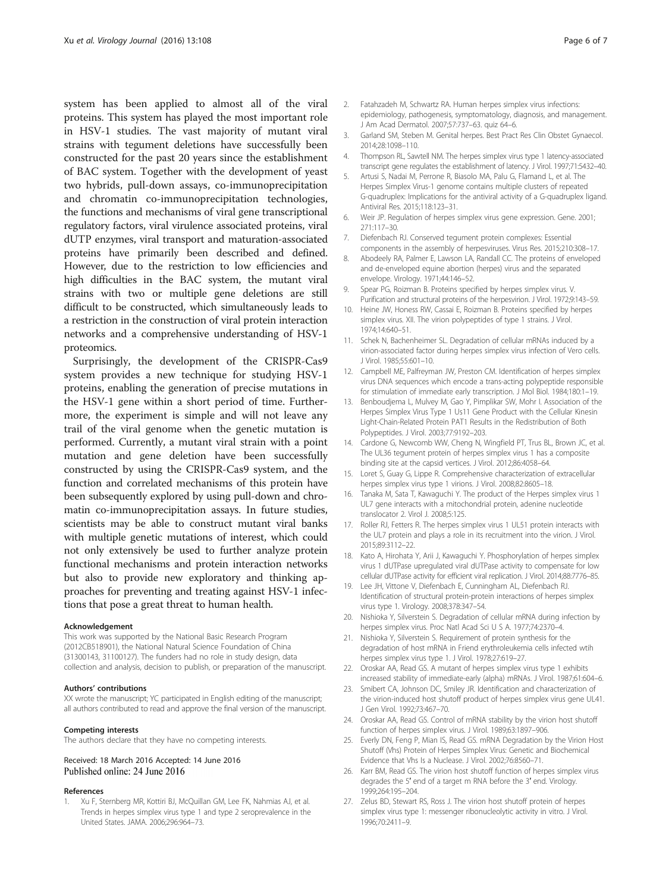<span id="page-5-0"></span>system has been applied to almost all of the viral proteins. This system has played the most important role in HSV-1 studies. The vast majority of mutant viral strains with tegument deletions have successfully been constructed for the past 20 years since the establishment of BAC system. Together with the development of yeast two hybrids, pull-down assays, co-immunoprecipitation and chromatin co-immunoprecipitation technologies, the functions and mechanisms of viral gene transcriptional regulatory factors, viral virulence associated proteins, viral dUTP enzymes, viral transport and maturation-associated proteins have primarily been described and defined. However, due to the restriction to low efficiencies and high difficulties in the BAC system, the mutant viral strains with two or multiple gene deletions are still difficult to be constructed, which simultaneously leads to a restriction in the construction of viral protein interaction networks and a comprehensive understanding of HSV-1 proteomics.

Surprisingly, the development of the CRISPR-Cas9 system provides a new technique for studying HSV-1 proteins, enabling the generation of precise mutations in the HSV-1 gene within a short period of time. Furthermore, the experiment is simple and will not leave any trail of the viral genome when the genetic mutation is performed. Currently, a mutant viral strain with a point mutation and gene deletion have been successfully constructed by using the CRISPR-Cas9 system, and the function and correlated mechanisms of this protein have been subsequently explored by using pull-down and chromatin co-immunoprecipitation assays. In future studies, scientists may be able to construct mutant viral banks with multiple genetic mutations of interest, which could not only extensively be used to further analyze protein functional mechanisms and protein interaction networks but also to provide new exploratory and thinking approaches for preventing and treating against HSV-1 infections that pose a great threat to human health.

#### Acknowledgement

This work was supported by the National Basic Research Program (2012CB518901), the National Natural Science Foundation of China (31300143, 31100127). The funders had no role in study design, data collection and analysis, decision to publish, or preparation of the manuscript.

#### Authors' contributions

XX wrote the manuscript; YC participated in English editing of the manuscript; all authors contributed to read and approve the final version of the manuscript.

#### Competing interests

The authors declare that they have no competing interests.

# Received: 18 March 2016 Accepted: 14 June 2016 Published online: 24 June 2016

#### References

Xu F, Sternberg MR, Kottiri BJ, McQuillan GM, Lee FK, Nahmias AJ, et al. Trends in herpes simplex virus type 1 and type 2 seroprevalence in the United States. JAMA. 2006;296:964–73.

- 2. Fatahzadeh M, Schwartz RA. Human herpes simplex virus infections: epidemiology, pathogenesis, symptomatology, diagnosis, and management. J Am Acad Dermatol. 2007;57:737–63. quiz 64–6.
- 3. Garland SM, Steben M. Genital herpes. Best Pract Res Clin Obstet Gynaecol. 2014;28:1098–110.
- 4. Thompson RL, Sawtell NM. The herpes simplex virus type 1 latency-associated transcript gene regulates the establishment of latency. J Virol. 1997;71:5432–40.
- 5. Artusi S, Nadai M, Perrone R, Biasolo MA, Palu G, Flamand L, et al. The Herpes Simplex Virus-1 genome contains multiple clusters of repeated G-quadruplex: Implications for the antiviral activity of a G-quadruplex ligand. Antiviral Res. 2015;118:123–31.
- 6. Weir JP. Regulation of herpes simplex virus gene expression. Gene. 2001; 271:117–30.
- 7. Diefenbach RJ. Conserved tegument protein complexes: Essential components in the assembly of herpesviruses. Virus Res. 2015;210:308–17.
- 8. Abodeely RA, Palmer E, Lawson LA, Randall CC. The proteins of enveloped and de-enveloped equine abortion (herpes) virus and the separated envelope. Virology. 1971;44:146–52.
- 9. Spear PG, Roizman B. Proteins specified by herpes simplex virus. V. Purification and structural proteins of the herpesvirion. J Virol. 1972;9:143–59.
- 10. Heine JW, Honess RW, Cassai E, Roizman B. Proteins specified by herpes simplex virus. XII. The virion polypeptides of type 1 strains. J Virol. 1974;14:640–51.
- 11. Schek N, Bachenheimer SL. Degradation of cellular mRNAs induced by a virion-associated factor during herpes simplex virus infection of Vero cells. J Virol. 1985;55:601–10.
- 12. Campbell ME, Palfreyman JW, Preston CM. Identification of herpes simplex virus DNA sequences which encode a trans-acting polypeptide responsible for stimulation of immediate early transcription. J Mol Biol. 1984;180:1–19.
- 13. Benboudjema L, Mulvey M, Gao Y, Pimplikar SW, Mohr I. Association of the Herpes Simplex Virus Type 1 Us11 Gene Product with the Cellular Kinesin Light-Chain-Related Protein PAT1 Results in the Redistribution of Both Polypeptides. J Virol. 2003;77:9192–203.
- 14. Cardone G, Newcomb WW, Cheng N, Wingfield PT, Trus BL, Brown JC, et al. The UL36 tegument protein of herpes simplex virus 1 has a composite binding site at the capsid vertices. J Virol. 2012;86:4058–64.
- 15. Loret S, Guay G, Lippe R. Comprehensive characterization of extracellular herpes simplex virus type 1 virions. J Virol. 2008;82:8605–18.
- 16. Tanaka M, Sata T, Kawaguchi Y. The product of the Herpes simplex virus 1 UL7 gene interacts with a mitochondrial protein, adenine nucleotide translocator 2. Virol J. 2008;5:125.
- 17. Roller RJ, Fetters R. The herpes simplex virus 1 UL51 protein interacts with the UL7 protein and plays a role in its recruitment into the virion. J Virol. 2015;89:3112–22.
- 18. Kato A, Hirohata Y, Arii J, Kawaguchi Y. Phosphorylation of herpes simplex virus 1 dUTPase upregulated viral dUTPase activity to compensate for low cellular dUTPase activity for efficient viral replication. J Virol. 2014;88:7776–85.
- 19. Lee JH, Vittone V, Diefenbach E, Cunningham AL, Diefenbach RJ. Identification of structural protein-protein interactions of herpes simplex virus type 1. Virology. 2008;378:347–54.
- 20. Nishioka Y, Silverstein S. Degradation of cellular mRNA during infection by herpes simplex virus. Proc Natl Acad Sci U S A. 1977;74:2370–4.
- 21. Nishioka Y, Silverstein S. Requirement of protein synthesis for the degradation of host mRNA in Friend erythroleukemia cells infected wtih herpes simplex virus type 1. J Virol. 1978;27:619–27.
- 22. Oroskar AA, Read GS. A mutant of herpes simplex virus type 1 exhibits increased stability of immediate-early (alpha) mRNAs. J Virol. 1987;61:604–6.
- 23. Smibert CA, Johnson DC, Smiley JR. Identification and characterization of the virion-induced host shutoff product of herpes simplex virus gene UL41. J Gen Virol. 1992;73:467–70.
- 24. Oroskar AA, Read GS. Control of mRNA stability by the virion host shutoff function of herpes simplex virus. J Virol. 1989;63:1897–906.
- 25. Everly DN, Feng P, Mian IS, Read GS. mRNA Degradation by the Virion Host Shutoff (Vhs) Protein of Herpes Simplex Virus: Genetic and Biochemical Evidence that Vhs Is a Nuclease. J Virol. 2002;76:8560–71.
- 26. Karr BM, Read GS. The virion host shutoff function of herpes simplex virus degrades the 5′ end of a target m RNA before the 3′ end. Virology. 1999;264:195–204.
- 27. Zelus BD, Stewart RS, Ross J. The virion host shutoff protein of herpes simplex virus type 1: messenger ribonucleolytic activity in vitro. J Virol. 1996;70:2411–9.